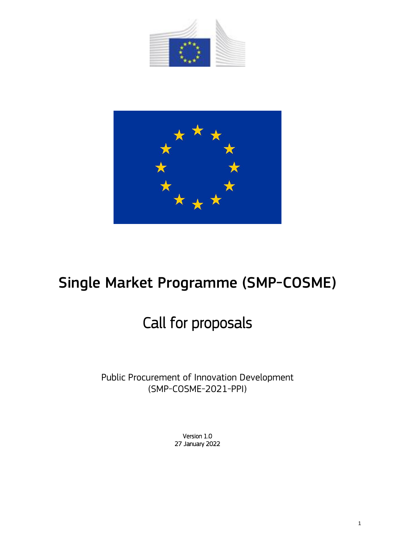



# Single Market Programme (SMP-COSME)

# Call for proposals

Public Procurement of Innovation Development (SMP-COSME-2021-PPI)

> Version 1.0 27 January 2022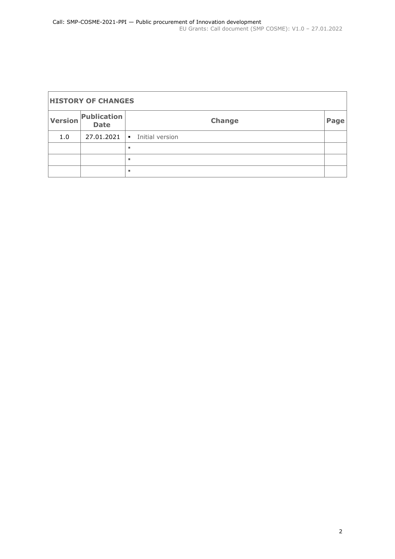| <b>HISTORY OF CHANGES</b> |                            |                                   |                   |  |  |  |
|---------------------------|----------------------------|-----------------------------------|-------------------|--|--|--|
| Version                   | Publication<br><b>Date</b> | <b>Change</b>                     | Page <sup>'</sup> |  |  |  |
| 1.0                       | 27.01.2021                 | Initial version<br>$\blacksquare$ |                   |  |  |  |
|                           |                            | ٠                                 |                   |  |  |  |
|                           |                            | ٠                                 |                   |  |  |  |
|                           |                            | ٠                                 |                   |  |  |  |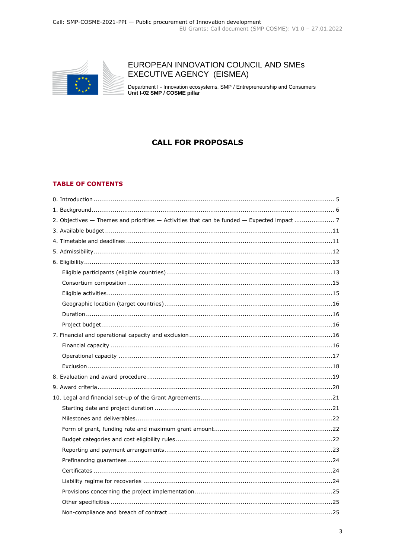

# EUROPEAN INNOVATION COUNCIL AND SMES EXECUTIVE AGENCY (EISMEA)

Department I - Innovation ecosystems, SMP / Entrepreneurship and Consumers Unit I-02 SMP / COSME pillar

# **CALL FOR PROPOSALS**

#### **TABLE OF CONTENTS**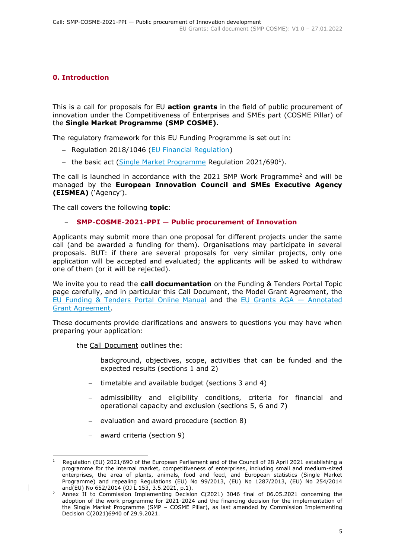## <span id="page-4-0"></span>**0. Introduction**

This is a call for proposals for EU **action grants** in the field of public procurement of innovation under the Competitiveness of Enterprises and SMEs part (COSME Pillar) of the **Single Market Programme (SMP COSME).**

The regulatory framework for this EU Funding Programme is set out in:

- Regulation 2018/1046 [\(EU Financial Regulation\)](https://eur-lex.europa.eu/legal-content/EN/ALL/?uri=CELEX:32018R1046&qid=1535046024012)
- the basic act [\(Single Market Programme](https://eur-lex.europa.eu/legal-content/EN/ALL/?uri=uriserv:OJ.L_.2021.153.01.0001.01.ENG) Regulation 2021/690<sup>1</sup>).

The call is launched in accordance with the 2021 SMP Work Programme<sup>2</sup> and will be managed by the **European Innovation Council and SMEs Executive Agency (EISMEA)** ('Agency').

The call covers the following **topic**:

#### **SMP-COSME-2021-PPI — Public procurement of Innovation**

Applicants may submit more than one proposal for different projects under the same call (and be awarded a funding for them). Organisations may participate in several proposals. BUT: if there are several proposals for very similar projects, only one application will be accepted and evaluated; the applicants will be asked to withdraw one of them (or it will be rejected).

We invite you to read the **call documentation** on the Funding & Tenders Portal Topic page carefully, and in particular this Call Document, the Model Grant Agreement, the [EU Funding & Tenders Portal Online Manual](https://ec.europa.eu/info/funding-tenders/opportunities/docs/2021-2027/common/guidance/om_en.pdf) and the [EU Grants AGA](https://ec.europa.eu/info/funding-tenders/opportunities/docs/2021-2027/common/guidance/aga_en.pdf) — Annotated [Grant Agreement.](https://ec.europa.eu/info/funding-tenders/opportunities/docs/2021-2027/common/guidance/aga_en.pdf)

These documents provide clarifications and answers to questions you may have when preparing your application:

- the Call Document outlines the:
	- background, objectives, scope, activities that can be funded and the expected results (sections 1 and 2)
	- timetable and available budget (sections 3 and 4)
	- admissibility and eligibility conditions, criteria for financial and operational capacity and exclusion (sections 5, 6 and 7)
	- evaluation and award procedure (section 8)
	- award criteria (section 9)

<sup>-</sup>1 Regulation (EU) 2021/690 of the European Parliament and of the Council of 28 April 2021 establishing a programme for the internal market, competitiveness of enterprises, including small and medium-sized enterprises, the area of plants, animals, food and feed, and European statistics (Single Market Programme) and repealing Regulations (EU) No 99/2013, (EU) No 1287/2013, (EU) No 254/2014 and(EU) No 652/2014 (OJ L 153, 3.5.2021, p.1).

<sup>2</sup> Annex II to Commission Implementing Decision C(2021) 3046 final of 06.05.2021 concerning the adoption of the work programme for 2021-2024 and the financing decision for the implementation of the Single Market Programme (SMP – COSME Pillar), as last amended by Commission Implementing Decision C(2021)6940 of 29.9.2021.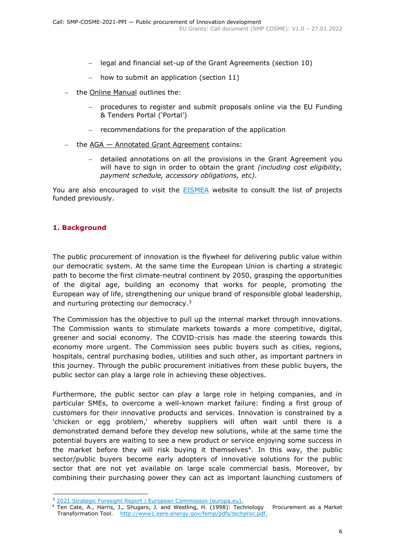- legal and financial set-up of the Grant Agreements (section 10)
- how to submit an application (section 11)
- the Online Manual outlines the:
	- procedures to register and submit proposals online via the EU Funding & Tenders Portal ('Portal')
	- recommendations for the preparation of the application
- $-$  the  $AGA Annotated Grant Agreement contains:$ 
	- detailed annotations on all the provisions in the Grant Agreement you will have to sign in order to obtain the grant *(including cost eligibility, payment schedule, accessory obligations, etc)*.

You are also encouraged to visit the **[EISMEA](https://eismea.ec.europa.eu/programmes/single-market-programme/support-smes_en)** website to consult the list of projects funded previously.

## <span id="page-5-0"></span>**1. Background**

The public procurement of innovation is the flywheel for delivering public value within our democratic system. At the same time the European Union is charting a strategic path to become the first climate-neutral continent by 2050, grasping the opportunities of the digital age, building an economy that works for people, promoting the European way of life, strengthening our unique brand of responsible global leadership, and nurturing protecting our democracy.<sup>3</sup>

The Commission has the objective to pull up the internal market through innovations. The Commission wants to stimulate markets towards a more competitive, digital, greener and social economy. The COVID-crisis has made the steering towards this economy more urgent. The Commission sees public buyers such as cities, regions, hospitals, central purchasing bodies, utilities and such other, as important partners in this journey. Through the public procurement initiatives from these public buyers, the public sector can play a large role in achieving these objectives.

Furthermore, the public sector can play a large role in helping companies, and in particular SMEs, to overcome a well-known market failure: finding a first group of customers for their innovative products and services. Innovation is constrained by a 'chicken or egg problem,' whereby suppliers will often wait until there is a demonstrated demand before they develop new solutions, while at the same time the potential buyers are waiting to see a new product or service enjoying some success in the market before they will risk buying it themselves<sup>4</sup>. In this way, the public sector/public buyers become early adopters of innovative solutions for the public sector that are not yet available on large scale commercial basis. Moreover, by combining their purchasing power they can act as important launching customers of

<sup>-</sup><sup>3</sup> [2021 Strategic Foresight Report | European Commission \(europa.eu\).](https://ec.europa.eu/info/strategy/strategic-planning/strategic-foresight/2021-strategic-foresight-report_en)

<sup>4</sup> Ten Cate, A., Harris, J., Shugars, J. and Westling, H. (1998): Technology Procurement as a Market Transformation Tool. http://www1.eere.energy.gov/femp/pdfs/techproc.pdf.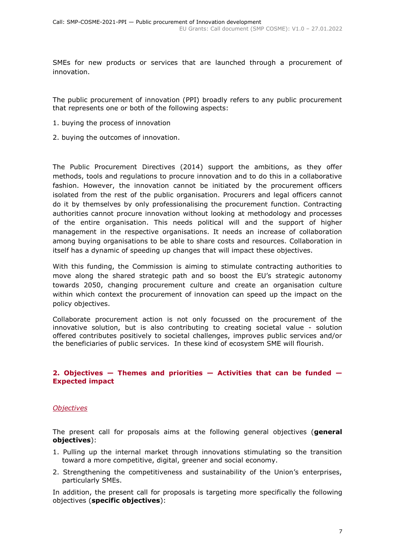SMEs for new products or services that are launched through a procurement of innovation.

The public procurement of innovation (PPI) broadly refers to any public procurement that represents one or both of the following aspects:

- 1. buying the process of innovation
- 2. buying the outcomes of innovation.

The Public Procurement Directives (2014) support the ambitions, as they offer methods, tools and regulations to procure innovation and to do this in a collaborative fashion. However, the innovation cannot be initiated by the procurement officers isolated from the rest of the public organisation. Procurers and legal officers cannot do it by themselves by only professionalising the procurement function. Contracting authorities cannot procure innovation without looking at methodology and processes of the entire organisation. This needs political will and the support of higher management in the respective organisations. It needs an increase of collaboration among buying organisations to be able to share costs and resources. Collaboration in itself has a dynamic of speeding up changes that will impact these objectives.

With this funding, the Commission is aiming to stimulate contracting authorities to move along the shared strategic path and so boost the EU's strategic autonomy towards 2050, changing procurement culture and create an organisation culture within which context the procurement of innovation can speed up the impact on the policy objectives.

Collaborate procurement action is not only focussed on the procurement of the innovative solution, but is also contributing to creating societal value - solution offered contributes positively to societal challenges, improves public services and/or the beneficiaries of public services. In these kind of ecosystem SME will flourish.

#### <span id="page-6-0"></span>**2. Objectives — Themes and priorities — Activities that can be funded — Expected impact**

## *Objectives*

The present call for proposals aims at the following general objectives (**general objectives**):

- 1. Pulling up the internal market through innovations stimulating so the transition toward a more competitive, digital, greener and social economy.
- 2. Strengthening the competitiveness and sustainability of the Union's enterprises, particularly SMEs.

In addition, the present call for proposals is targeting more specifically the following objectives (**specific objectives**):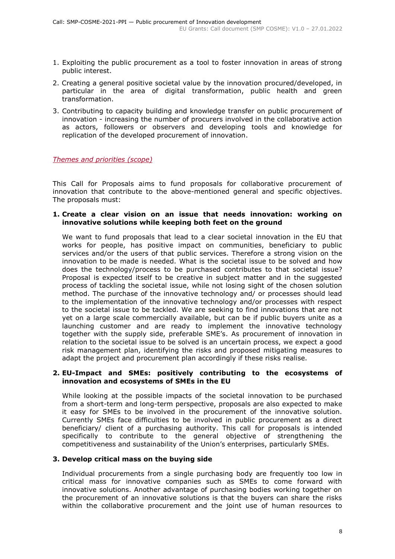- 1. Exploiting the public procurement as a tool to foster innovation in areas of strong public interest.
- 2. Creating a general positive societal value by the innovation procured/developed, in particular in the area of digital transformation, public health and green transformation.
- 3. Contributing to capacity building and knowledge transfer on public procurement of innovation - increasing the number of procurers involved in the collaborative action as actors, followers or observers and developing tools and knowledge for replication of the developed procurement of innovation.

*Themes and priorities (scope)*

This Call for Proposals aims to fund proposals for collaborative procurement of innovation that contribute to the above-mentioned general and specific objectives. The proposals must:

#### **1. Create a clear vision on an issue that needs innovation: working on innovative solutions while keeping both feet on the ground**

We want to fund proposals that lead to a clear societal innovation in the EU that works for people, has positive impact on communities, beneficiary to public services and/or the users of that public services. Therefore a strong vision on the innovation to be made is needed. What is the societal issue to be solved and how does the technology/process to be purchased contributes to that societal issue? Proposal is expected itself to be creative in subject matter and in the suggested process of tackling the societal issue, while not losing sight of the chosen solution method. The purchase of the innovative technology and/ or processes should lead to the implementation of the innovative technology and/or processes with respect to the societal issue to be tackled. We are seeking to find innovations that are not yet on a large scale commercially available, but can be if public buyers unite as a launching customer and are ready to implement the innovative technology together with the supply side, preferable SME's. As procurement of innovation in relation to the societal issue to be solved is an uncertain process, we expect a good risk management plan, identifying the risks and proposed mitigating measures to adapt the project and procurement plan accordingly if these risks realise.

#### **2. EU-Impact and SMEs: positively contributing to the ecosystems of innovation and ecosystems of SMEs in the EU**

While looking at the possible impacts of the societal innovation to be purchased from a short-term and long-term perspective, proposals are also expected to make it easy for SMEs to be involved in the procurement of the innovative solution. Currently SMEs face difficulties to be involved in public procurement as a direct beneficiary/ client of a purchasing authority. This call for proposals is intended specifically to contribute to the general objective of strengthening the competitiveness and sustainability of the Union's enterprises, particularly SMEs.

## **3. Develop critical mass on the buying side**

Individual procurements from a single purchasing body are frequently too low in critical mass for innovative companies such as SMEs to come forward with innovative solutions. Another advantage of purchasing bodies working together on the procurement of an innovative solutions is that the buyers can share the risks within the collaborative procurement and the joint use of human resources to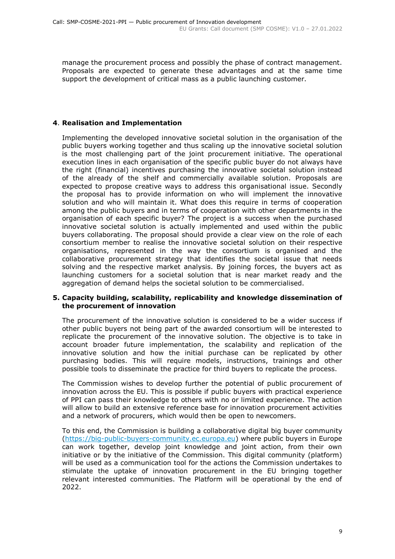manage the procurement process and possibly the phase of contract management. Proposals are expected to generate these advantages and at the same time support the development of critical mass as a public launching customer.

## **4**. **Realisation and Implementation**

Implementing the developed innovative societal solution in the organisation of the public buyers working together and thus scaling up the innovative societal solution is the most challenging part of the joint procurement initiative. The operational execution lines in each organisation of the specific public buyer do not always have the right (financial) incentives purchasing the innovative societal solution instead of the already of the shelf and commercially available solution. Proposals are expected to propose creative ways to address this organisational issue. Secondly the proposal has to provide information on who will implement the innovative solution and who will maintain it. What does this require in terms of cooperation among the public buyers and in terms of cooperation with other departments in the organisation of each specific buyer? The project is a success when the purchased innovative societal solution is actually implemented and used within the public buyers collaborating. The proposal should provide a clear view on the role of each consortium member to realise the innovative societal solution on their respective organisations, represented in the way the consortium is organised and the collaborative procurement strategy that identifies the societal issue that needs solving and the respective market analysis. By joining forces, the buyers act as launching customers for a societal solution that is near market ready and the aggregation of demand helps the societal solution to be commercialised.

#### **5. Capacity building, scalability, replicability and knowledge dissemination of the procurement of innovation**

The procurement of the innovative solution is considered to be a wider success if other public buyers not being part of the awarded consortium will be interested to replicate the procurement of the innovative solution. The objective is to take in account broader future implementation, the scalability and replication of the innovative solution and how the initial purchase can be replicated by other purchasing bodies. This will require models, instructions, trainings and other possible tools to disseminate the practice for third buyers to replicate the process.

The Commission wishes to develop further the potential of public procurement of innovation across the EU. This is possible if public buyers with practical experience of PPI can pass their knowledge to others with no or limited experience. The action will allow to build an extensive reference base for innovation procurement activities and a network of procurers, which would then be open to newcomers.

To this end, the Commission is building a collaborative digital big buyer community [\(https://big-public-buyers-community.ec.europa.eu\)](https://big-public-buyers-community.ec.europa.eu/) where public buyers in Europe can work together, develop joint knowledge and joint action, from their own initiative or by the initiative of the Commission. This digital community (platform) will be used as a communication tool for the actions the Commission undertakes to stimulate the uptake of innovation procurement in the EU bringing together relevant interested communities. The Platform will be operational by the end of 2022.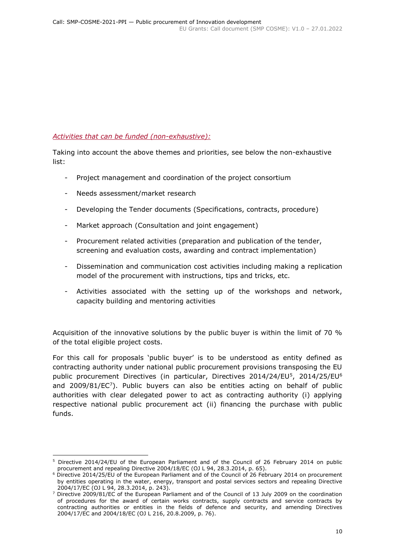## *Activities that can be funded (non-exhaustive):*

Taking into account the above themes and priorities, see below the non-exhaustive list:

- Project management and coordination of the project consortium
- Needs assessment/market research
- Developing the Tender documents (Specifications, contracts, procedure)
- Market approach (Consultation and joint engagement)
- Procurement related activities (preparation and publication of the tender, screening and evaluation costs, awarding and contract implementation)
- Dissemination and communication cost activities including making a replication model of the procurement with instructions, tips and tricks, etc.
- Activities associated with the setting up of the workshops and network, capacity building and mentoring activities

Acquisition of the innovative solutions by the public buyer is within the limit of 70 % of the total eligible project costs.

For this call for proposals 'public buyer' is to be understood as entity defined as contracting authority under national public procurement provisions transposing the EU public procurement Directives (in particular, Directives 2014/24/EU<sup>5</sup>, 2014/25/EU<sup>6</sup> and 2009/81/ $EC<sup>7</sup>$ ). Public buyers can also be entities acting on behalf of public authorities with clear delegated power to act as contracting authority (i) applying respective national public procurement act (ii) financing the purchase with public funds.

<sup>-</sup><sup>5</sup> Directive 2014/24/EU of the European Parliament and of the Council of 26 February 2014 on public procurement and repealing Directive 2004/18/EC (OJ L 94, 28.3.2014, p. 65).

<sup>6</sup> Directive 2014/25/EU of the European Parliament and of the Council of 26 February 2014 on procurement by entities operating in the water, energy, transport and postal services sectors and repealing Directive 2004/17/EC (OJ L 94, 28.3.2014, p. 243).

<sup>7</sup> Directive 2009/81/EC of the European Parliament and of the Council of 13 July 2009 on the coordination of procedures for the award of certain works contracts, supply contracts and service contracts by contracting authorities or entities in the fields of defence and security, and amending Directives 2004/17/EC and 2004/18/EC (OJ L 216, 20.8.2009, p. 76).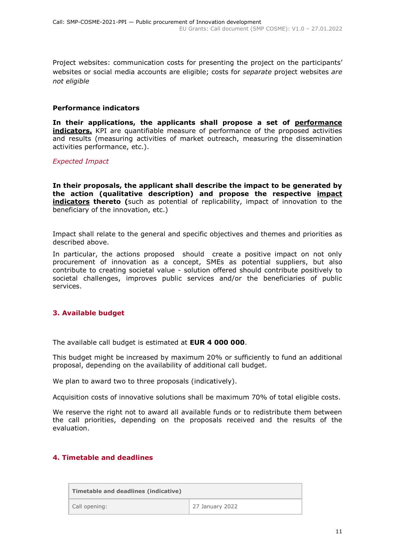Project websites: communication costs for presenting the project on the participants' websites or social media accounts are eligible; costs for *separate* project websites *are not eligible*

#### **Performance indicators**

**In their applications, the applicants shall propose a set of performance indicators.** KPI are quantifiable measure of performance of the proposed activities and results (measuring activities of market outreach, measuring the dissemination activities performance, etc.).

*Expected Impact*

**In their proposals, the applicant shall describe the impact to be generated by the action (qualitative description) and propose the respective impact indicators thereto (**such as potential of replicability, impact of innovation to the beneficiary of the innovation, etc.)

Impact shall relate to the general and specific objectives and themes and priorities as described above.

In particular, the actions proposed should create a positive impact on not only procurement of innovation as a concept, SMEs as potential suppliers, but also contribute to creating societal value - solution offered should contribute positively to societal challenges, improves public services and/or the beneficiaries of public services.

## <span id="page-10-0"></span>**3. Available budget**

The available call budget is estimated at **EUR 4 000 000**.

This budget might be increased by maximum 20% or sufficiently to fund an additional proposal, depending on the availability of additional call budget.

We plan to award two to three proposals (indicatively).

Acquisition costs of innovative solutions shall be maximum 70% of total eligible costs.

We reserve the right not to award all available funds or to redistribute them between the call priorities, depending on the proposals received and the results of the evaluation.

## <span id="page-10-1"></span>**4. Timetable and deadlines**

| Timetable and deadlines (indicative) |                 |  |  |  |
|--------------------------------------|-----------------|--|--|--|
| Call opening:                        | 27 January 2022 |  |  |  |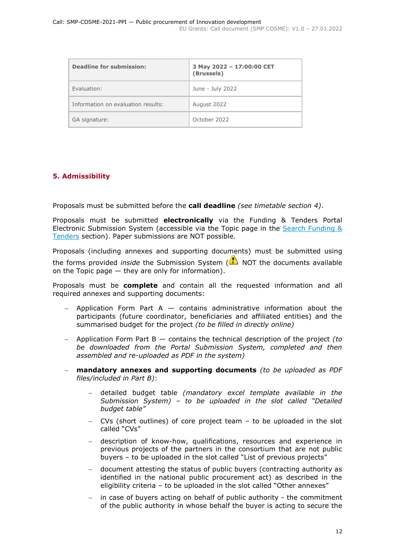| <b>Deadline for submission:</b>    | 3 May 2022 - 17:00:00 CET<br>(Brussels) |
|------------------------------------|-----------------------------------------|
| Fyaluation:                        | June - July 2022                        |
| Information on evaluation results: | August 2022                             |
| GA signature:                      | October 2022                            |

## <span id="page-11-0"></span>**5. Admissibility**

Proposals must be submitted before the **call deadline** *(see timetable section 4)*.

Proposals must be submitted **electronically** via the Funding & Tenders Portal Electronic Submission System (accessible via the Topic page in the Search Funding  $\&$ [Tenders](https://ec.europa.eu/info/funding-tenders/opportunities/portal/screen/opportunities/topic-search;freeTextSearchKeyword=;typeCodes=0,1;statusCodes=31094501,31094502,31094503;programCode=null;programDivisionCode=null;focusAreaCode=null;crossCuttingPriorityCode=null;callCode=Default;sortQuery=openingDate;orderBy=asc;onlyTenders=false;topicListKey=topicSearchTablePageState) section). Paper submissions are NOT possible.

Proposals (including annexes and supporting documents) must be submitted using

the forms provided *inside* the Submission System (**N**) NOT the documents available on the Topic page — they are only for information).

Proposals must be **complete** and contain all the requested information and all required annexes and supporting documents:

- Application Form Part A  $-$  contains administrative information about the participants (future coordinator, beneficiaries and affiliated entities) and the summarised budget for the project *(to be filled in directly online)*
- Application Form Part B contains the technical description of the project *(to be downloaded from the Portal Submission System, completed and then assembled and re-uploaded as PDF in the system)*
- **mandatory annexes and supporting documents** *(to be uploaded as PDF files/included in Part B)*:
	- detailed budget table *(mandatory excel template available in the Submission System) – to be uploaded in the slot called "Detailed budget table"*
	- CVs (short outlines) of core project team to be uploaded in the slot called "CVs"
	- description of know-how, qualifications, resources and experience in previous projects of the partners in the consortium that are not public buyers – to be uploaded in the slot called "List of previous projects"
	- document attesting the status of public buyers (contracting authority as identified in the national public procurement act) as described in the eligibility criteria – to be uploaded in the slot called "Other annexes"
	- in case of buyers acting on behalf of public authority the commitment of the public authority in whose behalf the buyer is acting to secure the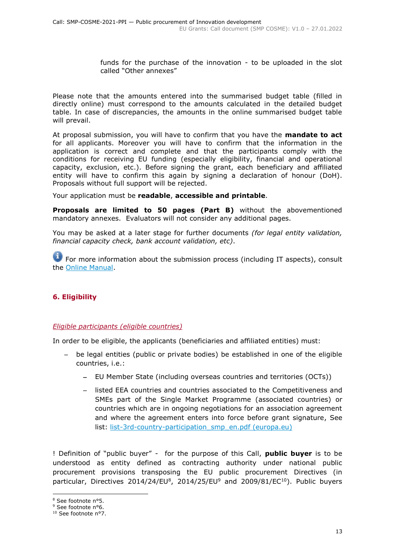funds for the purchase of the innovation - to be uploaded in the slot called "Other annexes"

Please note that the amounts entered into the summarised budget table (filled in directly online) must correspond to the amounts calculated in the detailed budget table. In case of discrepancies, the amounts in the online summarised budget table will prevail.

At proposal submission, you will have to confirm that you have the **mandate to act** for all applicants. Moreover you will have to confirm that the information in the application is correct and complete and that the participants comply with the conditions for receiving EU funding (especially eligibility, financial and operational capacity, exclusion, etc.). Before signing the grant, each beneficiary and affiliated entity will have to confirm this again by signing a declaration of honour (DoH). Proposals without full support will be rejected.

Your application must be **readable**, **accessible and printable**.

**Proposals are limited to 50 pages (Part B)** without the abovementioned mandatory annexes. Evaluators will not consider any additional pages.

You may be asked at a later stage for further documents *(for legal entity validation, financial capacity check, bank account validation, etc)*.

**For more information about the submission process (including IT aspects), consult** the [Online Manual.](https://ec.europa.eu/info/funding-tenders/opportunities/docs/2021-2027/common/guidance/om_en.pdf)

## <span id="page-12-0"></span>**6. Eligibility**

#### <span id="page-12-1"></span>*Eligible participants (eligible countries)*

In order to be eligible, the applicants (beneficiaries and affiliated entities) must:

- be legal entities (public or private bodies) be established in one of the eligible countries, i.e.:
	- EU Member State (including overseas countries and territories (OCTs))
	- listed EEA countries and countries associated to the Competitiveness and SMEs part of the Single Market Programme [\(associated countries\)](https://ec.europa.eu/info/funding-tenders/opportunities/docs/2021-2027/smp/guidance/list-3rd-country-participation_smp_en.pdf) or countries which are in ongoing negotiations for an association agreement and where the agreement enters into force before grant signature, See list: [list-3rd-country-participation\\_smp\\_en.pdf \(europa.eu\)](https://ec.europa.eu/info/funding-tenders/opportunities/docs/2021-2027/smp/guidance/list-3rd-country-participation_smp_en.pdf)

! Definition of "public buyer" - for the purpose of this Call, **public buyer** is to be understood as entity defined as contracting authority under national public procurement provisions transposing the EU public procurement Directives (in particular, Directives  $2014/24/EU^8$ ,  $2014/25/EU^9$  and  $2009/81/EC^{10}$ ). Public buyers

-

<sup>8</sup> See footnote n°5.

<sup>&</sup>lt;sup>9</sup> See footnote n°6.

<sup>&</sup>lt;sup>10</sup> See footnote n°7.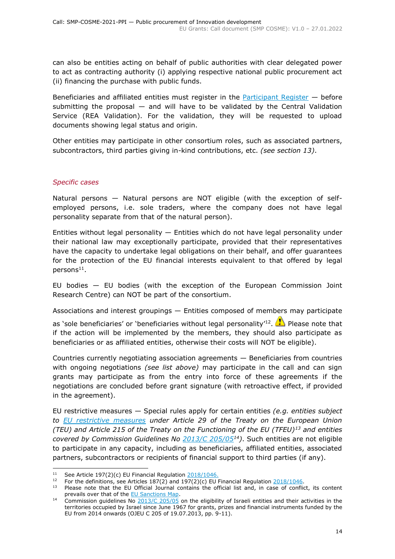can also be entities acting on behalf of public authorities with clear delegated power to act as contracting authority (i) applying respective national public procurement act (ii) financing the purchase with public funds.

Beneficiaries and affiliated entities must register in the [Participant Register](https://ec.europa.eu/info/funding-tenders/opportunities/portal/screen/how-to-participate/participant-register)  $-$  before submitting the proposal  $-$  and will have to be validated by the Central Validation Service (REA Validation). For the validation, they will be requested to upload documents showing legal status and origin.

Other entities may participate in other consortium roles, such as associated partners, subcontractors, third parties giving in-kind contributions, etc. *(see section 13)*.

## *Specific cases*

-

Natural persons — Natural persons are NOT eligible (with the exception of selfemployed persons, i.e. sole traders, where the company does not have legal personality separate from that of the natural person).

Entities without legal personality  $-$  Entities which do not have legal personality under their national law may exceptionally participate, provided that their representatives have the capacity to undertake legal obligations on their behalf, and offer guarantees for the protection of the EU financial interests equivalent to that offered by legal  $persons<sup>11</sup>$ .

EU bodies — EU bodies (with the exception of the European Commission Joint Research Centre) can NOT be part of the consortium.

Associations and interest groupings — Entities composed of members may participate

as 'sole beneficiaries' or 'beneficiaries without legal personality'<sup>12</sup>. **The Please note that** if the action will be implemented by the members, they should also participate as beneficiaries or as affiliated entities, otherwise their costs will NOT be eligible).

Countries currently negotiating association agreements — Beneficiaries from countries with ongoing negotiations *(see list above)* may participate in the call and can sign grants may participate as from the entry into force of these agreements if the negotiations are concluded before grant signature (with retroactive effect, if provided in the agreement).

EU restrictive measures — Special rules apply for certain entities *(e.g. entities subject to [EU restrictive measures](http://www.sanctionsmap.eu/) under Article 29 of the Treaty on the European Union (TEU) and Article 215 of the Treaty on the Functioning of the EU (TFEU)<sup>13</sup> and entities covered by Commission Guidelines No [2013/C 205/05](http://eur-lex.europa.eu/LexUriServ/LexUriServ.do?uri=OJ:C:2013:205:FULL:EN:PDF)<sup>14</sup>)*. Such entities are not eligible to participate in any capacity, including as beneficiaries, affiliated entities, associated partners, subcontractors or recipients of financial support to third parties (if any).

<sup>&</sup>lt;sup>11</sup> See Article 197(2)(c) EU Financial Regulation  $2018/1046$ .

<sup>&</sup>lt;sup>12</sup> For the definitions, see Articles  $187(2)$  and  $197(2)(c)$  EU Financial Regulation  $\frac{2018/1046}{c}$ .<br><sup>13</sup> Ploase note that the EU Official Journal contains the official list and in case of conflic

Please note that the EU Official Journal contains the official list and, in case of conflict, its content prevails over that of the [EU Sanctions Map.](http://www.sanctionsmap.eu/)

<sup>&</sup>lt;sup>14</sup> Commission guidelines No  $\frac{2013}{C}$  205/05 on the eligibility of Israeli entities and their activities in the territories occupied by Israel since June 1967 for grants, prizes and financial instruments funded by the EU from 2014 onwards (OJEU C 205 of 19.07.2013, pp. 9-11).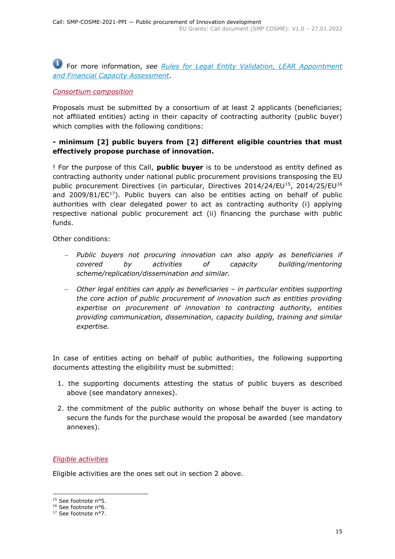# For more information, *see [Rules for Legal Entity Validation, LEAR Appointment](https://ec.europa.eu/info/funding-tenders/opportunities/docs/2021-2027/common/guidance/rules-lev-lear-fca_en.pdf)  [and Financial Capacity Assessment](https://ec.europa.eu/info/funding-tenders/opportunities/docs/2021-2027/common/guidance/rules-lev-lear-fca_en.pdf)*.

## <span id="page-14-0"></span>*Consortium composition*

Proposals must be submitted by a consortium of at least 2 applicants (beneficiaries; not affiliated entities) acting in their capacity of contracting authority (public buyer) which complies with the following conditions:

## **- minimum [2] public buyers from [2] different eligible countries that must effectively propose purchase of innovation.**

! For the purpose of this Call, **public buyer** is to be understood as entity defined as contracting authority under national public procurement provisions transposing the EU public procurement Directives (in particular, Directives 2014/24/EU<sup>15</sup>, 2014/25/EU<sup>16</sup> and 2009/81/ $EC^{17}$ ). Public buyers can also be entities acting on behalf of public authorities with clear delegated power to act as contracting authority (i) applying respective national public procurement act (ii) financing the purchase with public funds.

Other conditions:

- *Public buyers not procuring innovation can also apply as beneficiaries if covered by activities of capacity building/mentoring scheme/replication/dissemination and similar.*
- *Other legal entities can apply as beneficiaries – in particular entities supporting the core action of public procurement of innovation such as entities providing expertise on procurement of innovation to contracting authority, entities providing communication, dissemination, capacity building, training and similar expertise.*

In case of entities acting on behalf of public authorities, the following supporting documents attesting the eligibility must be submitted:

- 1. the supporting documents attesting the status of public buyers as described above (see mandatory annexes).
- 2. the commitment of the public authority on whose behalf the buyer is acting to secure the funds for the purchase would the proposal be awarded (see mandatory annexes).

## <span id="page-14-1"></span>*Eligible activities*

Eligible activities are the ones set out in section 2 above.

-

<sup>&</sup>lt;sup>15</sup> See footnote n°5.

<sup>16</sup> See footnote n°6.

<sup>&</sup>lt;sup>17</sup> See footnote n°7.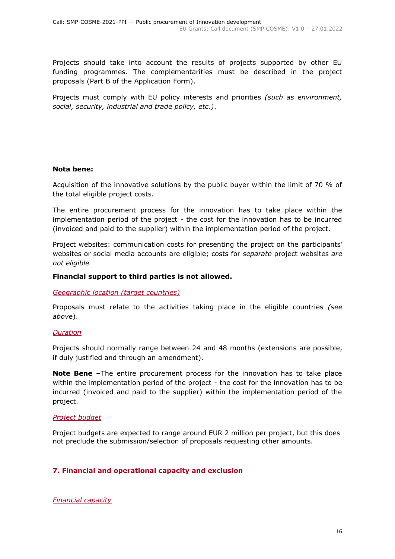Projects should take into account the results of projects supported by other EU funding programmes. The complementarities must be described in the project proposals (Part B of the Application Form).

Projects must comply with EU policy interests and priorities *(such as environment, social, security, industrial and trade policy, etc.)*.

## **Nota bene:**

Acquisition of the innovative solutions by the public buyer within the limit of 70 % of the total eligible project costs.

The entire procurement process for the innovation has to take place within the implementation period of the project - the cost for the innovation has to be incurred (invoiced and paid to the supplier) within the implementation period of the project.

Project websites: communication costs for presenting the project on the participants' websites or social media accounts are eligible; costs for *separate* project websites *are not eligible*

#### **Financial support to third parties is not allowed.**

#### <span id="page-15-0"></span>*Geographic location (target countries)*

Proposals must relate to the activities taking place in the eligible countries *(see above*).

#### <span id="page-15-1"></span>*Duration*

Projects should normally range between 24 and 48 months (extensions are possible, if duly justified and through an amendment).

**Note Bene –**The entire procurement process for the innovation has to take place within the implementation period of the project - the cost for the innovation has to be incurred (invoiced and paid to the supplier) within the implementation period of the project.

## <span id="page-15-2"></span>*Project budget*

Project budgets are expected to range around EUR 2 million per project, but this does not preclude the submission/selection of proposals requesting other amounts.

## <span id="page-15-3"></span>**7. Financial and operational capacity and exclusion**

<span id="page-15-4"></span>*Financial capacity*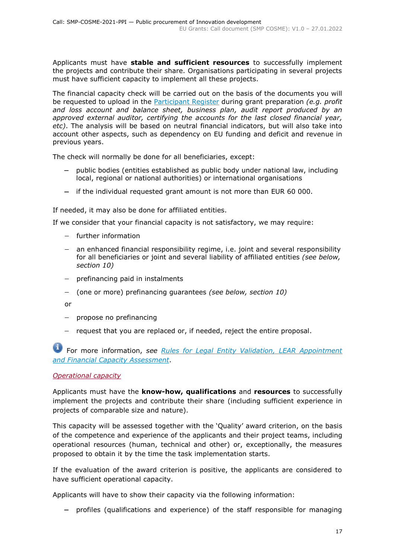Applicants must have **stable and sufficient resources** to successfully implement the projects and contribute their share. Organisations participating in several projects must have sufficient capacity to implement all these projects.

The financial capacity check will be carried out on the basis of the documents you will be requested to upload in the [Participant Register](https://ec.europa.eu/info/funding-tenders/opportunities/portal/screen/how-to-participate/participant-register) during grant preparation *(e.g. profit and loss account and balance sheet, business plan, audit report produced by an approved external auditor, certifying the accounts for the last closed financial year, etc)*. The analysis will be based on neutral financial indicators, but will also take into account other aspects, such as dependency on EU funding and deficit and revenue in previous years.

The check will normally be done for all beneficiaries, except:

- public bodies (entities established as public body under national law, including local, regional or national authorities) or international organisations
- if the individual requested grant amount is not more than EUR 60 000.

If needed, it may also be done for affiliated entities.

If we consider that your financial capacity is not satisfactory, we may require:

- further information
- an enhanced financial responsibility regime, i.e. joint and several responsibility for all beneficiaries or joint and several liability of affiliated entities *(see below, section 10)*
- $-$  prefinancing paid in instalments
- (one or more) prefinancing guarantees *(see below, section 10)*

or

- $-$  propose no prefinancing
- $-$  request that you are replaced or, if needed, reject the entire proposal.

For more information, *see Rules for [Legal Entity Validation, LEAR Appointment](https://ec.europa.eu/info/funding-tenders/opportunities/docs/2021-2027/common/guidance/rules-lev-lear-fca_en.pdf)  [and Financial Capacity Assessment](https://ec.europa.eu/info/funding-tenders/opportunities/docs/2021-2027/common/guidance/rules-lev-lear-fca_en.pdf)*.

#### <span id="page-16-0"></span>*Operational capacity*

Applicants must have the **know-how, qualifications** and **resources** to successfully implement the projects and contribute their share (including sufficient experience in projects of comparable size and nature).

This capacity will be assessed together with the 'Quality' award criterion, on the basis of the competence and experience of the applicants and their project teams, including operational resources (human, technical and other) or, exceptionally, the measures proposed to obtain it by the time the task implementation starts.

If the evaluation of the award criterion is positive, the applicants are considered to have sufficient operational capacity.

Applicants will have to show their capacity via the following information:

profiles (qualifications and experience) of the staff responsible for managing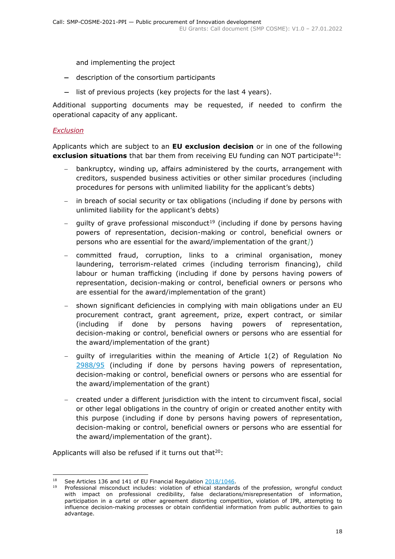and implementing the project

- description of the consortium participants
- list of previous projects (key projects for the last 4 years).

Additional supporting documents may be requested, if needed to confirm the operational capacity of any applicant.

## <span id="page-17-0"></span>*Exclusion*

Applicants which are subject to an **EU exclusion decision** or in one of the following **exclusion situations** that bar them from receiving EU funding can NOT participate<sup>18</sup>:

- bankruptcy, winding up, affairs administered by the courts, arrangement with creditors, suspended business activities or other similar procedures (including procedures for persons with unlimited liability for the applicant's debts)
- in breach of social security or tax obligations (including if done by persons with unlimited liability for the applicant's debts)
- quilty of grave professional misconduct<sup>19</sup> (including if done by persons having powers of representation, decision-making or control, beneficial owners or persons who are essential for the award/implementation of the grant*]*)
- committed fraud, corruption, links to a criminal organisation, money laundering, terrorism-related crimes (including terrorism financing), child labour or human trafficking (including if done by persons having powers of representation, decision-making or control, beneficial owners or persons who are essential for the award/implementation of the grant)
- shown significant deficiencies in complying with main obligations under an EU procurement contract, grant agreement, prize, expert contract, or similar (including if done by persons having powers of representation, decision-making or control, beneficial owners or persons who are essential for the award/implementation of the grant)
- guilty of irregularities within the meaning of Article 1(2) of Regulation No [2988/95](http://eur-lex.europa.eu/legal-content/EN/ALL/?uri=CELEX:31995R2988&qid=1501598622514) (including if done by persons having powers of representation, decision-making or control, beneficial owners or persons who are essential for the award/implementation of the grant)
- created under a different jurisdiction with the intent to circumvent fiscal, social or other legal obligations in the country of origin or created another entity with this purpose (including if done by persons having powers of representation, decision-making or control, beneficial owners or persons who are essential for the award/implementation of the grant).

Applicants will also be refused if it turns out that $20$ :

<sup>18</sup> <sup>18</sup> See Articles 136 and 141 of EU Financial Regulation  $\frac{2018/1046}{201}$ .

<sup>19</sup> Professional misconduct includes: violation of ethical standards of the profession, wrongful conduct with impact on professional credibility, false declarations/misrepresentation of information, participation in a cartel or other agreement distorting competition, violation of IPR, attempting to influence decision-making processes or obtain confidential information from public authorities to gain advantage.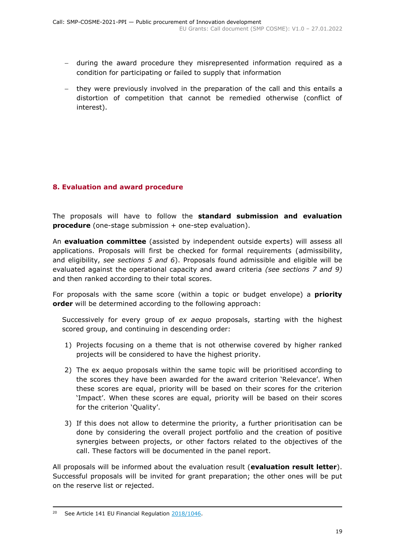- during the award procedure they misrepresented information required as a condition for participating or failed to supply that information
- they were previously involved in the preparation of the call and this entails a distortion of competition that cannot be remedied otherwise (conflict of interest).

## <span id="page-18-0"></span>**8. Evaluation and award procedure**

The proposals will have to follow the **standard submission and evaluation procedure** (one-stage submission + one-step evaluation).

An **evaluation committee** (assisted by independent outside experts) will assess all applications. Proposals will first be checked for formal requirements (admissibility, and eligibility, *see sections 5 and 6*). Proposals found admissible and eligible will be evaluated against the operational capacity and award criteria *(see sections 7 and 9)*  and then ranked according to their total scores.

For proposals with the same score (within a topic or budget envelope) a **priority order** will be determined according to the following approach:

Successively for every group of *ex aequo* proposals, starting with the highest scored group, and continuing in descending order:

- 1) Projects focusing on a theme that is not otherwise covered by higher ranked projects will be considered to have the highest priority.
- 2) The ex aequo proposals within the same topic will be prioritised according to the scores they have been awarded for the award criterion 'Relevance'. When these scores are equal, priority will be based on their scores for the criterion 'Impact'. When these scores are equal, priority will be based on their scores for the criterion 'Quality'.
- 3) If this does not allow to determine the priority, a further prioritisation can be done by considering the overall project portfolio and the creation of positive synergies between projects, or other factors related to the objectives of the call. These factors will be documented in the panel report.

All proposals will be informed about the evaluation result (**evaluation result letter**). Successful proposals will be invited for grant preparation; the other ones will be put on the reserve list or rejected.

-

<sup>&</sup>lt;sup>20</sup> See Article 141 EU Financial Regulation [2018/1046.](https://eur-lex.europa.eu/legal-content/EN/ALL/?uri=CELEX:32018R1046&qid=1535046024012)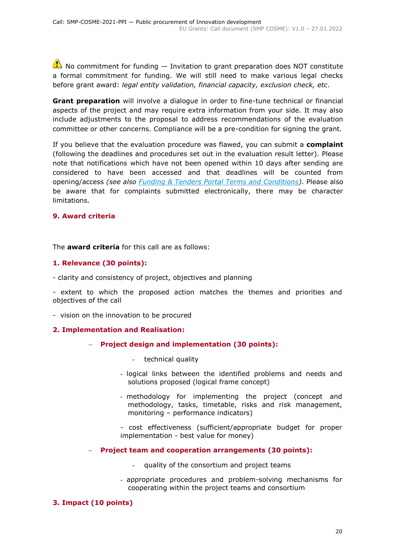$\triangle$  No commitment for funding  $-$  Invitation to grant preparation does NOT constitute a formal commitment for funding. We will still need to make various legal checks before grant award: *legal entity validation, financial capacity, exclusion check, etc*.

**Grant preparation** will involve a dialogue in order to fine-tune technical or financial aspects of the project and may require extra information from your side. It may also include adjustments to the proposal to address recommendations of the evaluation committee or other concerns. Compliance will be a pre-condition for signing the grant.

If you believe that the evaluation procedure was flawed, you can submit a **complaint** (following the deadlines and procedures set out in the evaluation result letter). Please note that notifications which have not been opened within 10 days after sending are considered to have been accessed and that deadlines will be counted from opening/access *(see also [Funding & Tenders Portal Terms and Conditions\)](https://ec.europa.eu/info/funding-tenders/opportunities/docs/2021-2027/common/ftp/tc_en.pdf)*. Please also be aware that for complaints submitted electronically, there may be character limitations.

## <span id="page-19-0"></span>**9. Award criteria**

The **award criteria** for this call are as follows:

## **1. Relevance (30 points):**

- clarity and consistency of project, objectives and planning

- extent to which the proposed action matches the themes and priorities and objectives of the call

- vision on the innovation to be procured

## **2. Implementation and Realisation:**

- **Project design and implementation (30 points):**
	- technical quality
	- logical links between the identified problems and needs and solutions proposed (logical frame concept)
	- methodology for implementing the project (concept and methodology, tasks, timetable, risks and risk management, monitoring – performance indicators)
	- cost effectiveness (sufficient/appropriate budget for proper implementation - best value for money)

## **Project team and cooperation arrangements (30 points):**

- quality of the consortium and project teams
- appropriate procedures and problem-solving mechanisms for cooperating within the project teams and consortium

## **3. Impact (10 points)**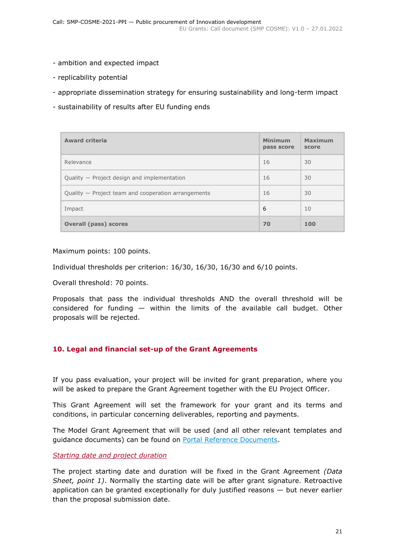- ambition and expected impact
- replicability potential
- appropriate dissemination strategy for ensuring sustainability and long-term impact
- sustainability of results after EU funding ends

| <b>Award criteria</b>                               | <b>Minimum</b><br>pass score | <b>Maximum</b><br>score |
|-----------------------------------------------------|------------------------------|-------------------------|
| Relevance                                           | 16                           | 30                      |
| Quality — Project design and implementation         | 16                           | 30                      |
| Quality - Project team and cooperation arrangements | 16                           | 30                      |
| Impact                                              | 6                            | 10                      |
| <b>Overall (pass) scores</b>                        | 70                           | 100                     |

Maximum points: 100 points.

Individual thresholds per criterion: 16/30, 16/30, 16/30 and 6/10 points.

Overall threshold: 70 points.

Proposals that pass the individual thresholds AND the overall threshold will be considered for funding — within the limits of the available call budget. Other proposals will be rejected.

## <span id="page-20-0"></span>**10. Legal and financial set-up of the Grant Agreements**

If you pass evaluation, your project will be invited for grant preparation, where you will be asked to prepare the Grant Agreement together with the EU Project Officer.

This Grant Agreement will set the framework for your grant and its terms and conditions, in particular concerning deliverables, reporting and payments.

The Model Grant Agreement that will be used (and all other relevant templates and guidance documents) can be found on [Portal Reference Documents.](https://ec.europa.eu/info/funding-tenders/opportunities/portal/screen/how-to-participate/reference-documents)

<span id="page-20-1"></span>*Starting date and project duration*

The project starting date and duration will be fixed in the Grant Agreement *(Data Sheet, point 1)*. Normally the starting date will be after grant signature. Retroactive application can be granted exceptionally for duly justified reasons  $-$  but never earlier than the proposal submission date.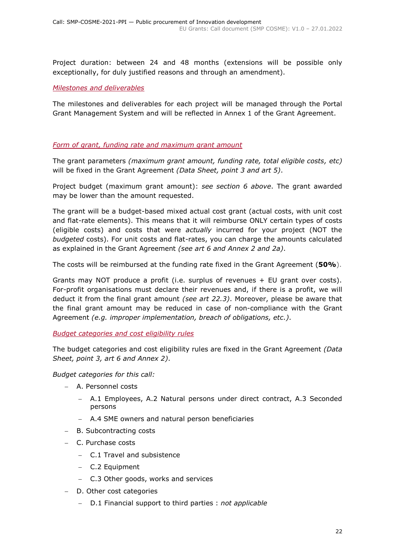Project duration: between 24 and 48 months (extensions will be possible only exceptionally, for duly justified reasons and through an amendment).

## <span id="page-21-0"></span>*Milestones and deliverables*

The milestones and deliverables for each project will be managed through the Portal Grant Management System and will be reflected in Annex 1 of the Grant Agreement.

## <span id="page-21-1"></span>*Form of grant, funding rate and maximum grant amount*

The grant parameters *(maximum grant amount, funding rate, total eligible costs, etc)* will be fixed in the Grant Agreement *(Data Sheet, point 3 and art 5)*.

Project budget (maximum grant amount): *see section 6 above*. The grant awarded may be lower than the amount requested.

The grant will be a budget-based mixed actual cost grant (actual costs, with unit cost and flat-rate elements). This means that it will reimburse ONLY certain types of costs (eligible costs) and costs that were *actually* incurred for your project (NOT the *budgeted* costs). For unit costs and flat-rates, you can charge the amounts calculated as explained in the Grant Agreement *(see art 6 and Annex 2 and 2a)*.

The costs will be reimbursed at the funding rate fixed in the Grant Agreement (**50%**).

Grants may NOT produce a profit (i.e. surplus of revenues + EU grant over costs). For-profit organisations must declare their revenues and, if there is a profit, we will deduct it from the final grant amount *(see art 22.3)*. Moreover, please be aware that the final grant amount may be reduced in case of non-compliance with the Grant Agreement *(e.g. improper implementation, breach of obligations, etc.)*.

## <span id="page-21-2"></span>*Budget categories and cost eligibility rules*

The budget categories and cost eligibility rules are fixed in the Grant Agreement *(Data Sheet, point 3, art 6 and Annex 2)*.

*Budget categories for this call:*

- A. Personnel costs
	- A.1 Employees, A.2 Natural persons under direct contract, A.3 Seconded persons
	- A.4 SME owners and natural person beneficiaries
- B. Subcontracting costs
- C. Purchase costs
	- C.1 Travel and subsistence
	- C.2 Equipment
	- C.3 Other goods, works and services
- D. Other cost categories
	- D.1 Financial support to third parties : *not applicable*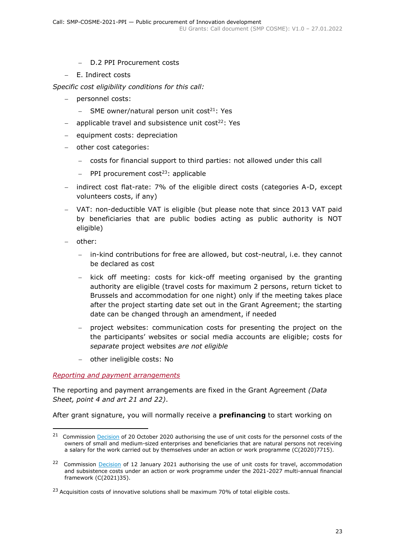- D.2 PPI Procurement costs
- E. Indirect costs

*Specific cost eligibility conditions for this call:* 

- personnel costs:
	- SME owner/natural person unit  $cost<sup>21</sup>$ : Yes
- $-$  applicable travel and subsistence unit cost<sup>22</sup>: Yes
- $-$  equipment costs: depreciation
- other cost categories:
	- costs for financial support to third parties: not allowed under this call
	- PPI procurement cost<sup>23</sup>: applicable
- indirect cost flat-rate: 7% of the eligible direct costs (categories A-D, except volunteers costs, if any)
- VAT: non-deductible VAT is eligible (but please note that since 2013 VAT paid by beneficiaries that are public bodies acting as public authority is NOT eligible)
- other:

-

- in-kind contributions for free are allowed, but cost-neutral, i.e. they cannot be declared as cost
- kick off meeting: costs for kick-off meeting organised by the granting authority are eligible (travel costs for maximum 2 persons, return ticket to Brussels and accommodation for one night) only if the meeting takes place after the project starting date set out in the Grant Agreement; the starting date can be changed through an amendment, if needed
- project websites: communication costs for presenting the project on the the participants' websites or social media accounts are eligible; costs for *separate* project websites *are not eligible*
- other ineligible costs: No

#### <span id="page-22-0"></span>*Reporting and payment arrangements*

The reporting and payment arrangements are fixed in the Grant Agreement *(Data Sheet, point 4 and art 21 and 22)*.

After grant signature, you will normally receive a **prefinancing** to start working on

<sup>&</sup>lt;sup>21</sup> Commission [Decision](https://ec.europa.eu/info/funding-tenders/opportunities/docs/2021-2027/common/guidance/unit-cost-decision-sme-owners-natural-persons_en.pdf) of 20 October 2020 authorising the use of unit costs for the personnel costs of the owners of small and medium-sized enterprises and beneficiaries that are natural persons not receiving a salary for the work carried out by themselves under an action or work programme (C(2020)7715).

<sup>&</sup>lt;sup>22</sup> Commission [Decision](https://ec.europa.eu/info/funding-tenders/opportunities/docs/2021-2027/common/guidance/unit-cost-decision-travel_en.pdf) of 12 January 2021 authorising the use of unit costs for travel, accommodation and subsistence costs under an action or work programme under the 2021-2027 multi-annual financial framework (C(2021)35).

<sup>&</sup>lt;sup>23</sup> Acquisition costs of innovative solutions shall be maximum 70% of total eligible costs.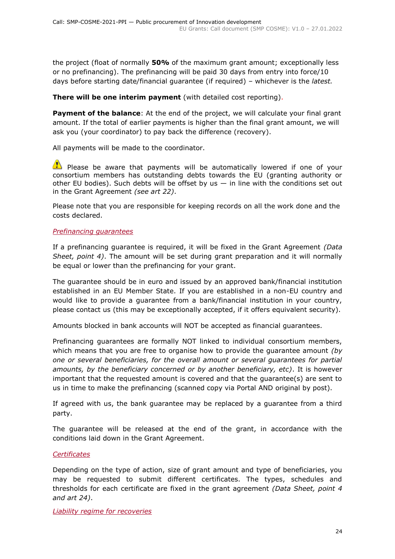the project (float of normally **50%** of the maximum grant amount; exceptionally less or no prefinancing). The prefinancing will be paid 30 days from entry into force/10 days before starting date/financial guarantee (if required) – whichever is the *latest.*

## **There will be one interim payment** (with detailed cost reporting).

**Payment of the balance**: At the end of the project, we will calculate your final grant amount. If the total of earlier payments is higher than the final grant amount, we will ask you (your coordinator) to pay back the difference (recovery).

All payments will be made to the coordinator.

Please be aware that payments will be automatically lowered if one of your consortium members has outstanding debts towards the EU (granting authority or other EU bodies). Such debts will be offset by us  $-$  in line with the conditions set out in the Grant Agreement *(see art 22)*.

Please note that you are responsible for keeping records on all the work done and the costs declared.

## <span id="page-23-0"></span>*Prefinancing guarantees*

If a prefinancing guarantee is required, it will be fixed in the Grant Agreement *(Data Sheet, point 4)*. The amount will be set during grant preparation and it will normally be equal or lower than the prefinancing for your grant.

The guarantee should be in euro and issued by an approved bank/financial institution established in an EU Member State. If you are established in a non-EU country and would like to provide a guarantee from a bank/financial institution in your country, please contact us (this may be exceptionally accepted, if it offers equivalent security).

Amounts blocked in bank accounts will NOT be accepted as financial guarantees.

Prefinancing guarantees are formally NOT linked to individual consortium members, which means that you are free to organise how to provide the guarantee amount *(by one or several beneficiaries, for the overall amount or several guarantees for partial amounts, by the beneficiary concerned or by another beneficiary, etc)*. It is however important that the requested amount is covered and that the guarantee(s) are sent to us in time to make the prefinancing (scanned copy via Portal AND original by post).

If agreed with us, the bank guarantee may be replaced by a guarantee from a third party.

The guarantee will be released at the end of the grant, in accordance with the conditions laid down in the Grant Agreement.

## <span id="page-23-1"></span>*Certificates*

Depending on the type of action, size of grant amount and type of beneficiaries, you may be requested to submit different certificates. The types, schedules and thresholds for each certificate are fixed in the grant agreement *(Data Sheet, point 4 and art 24)*.

<span id="page-23-2"></span>*Liability regime for recoveries*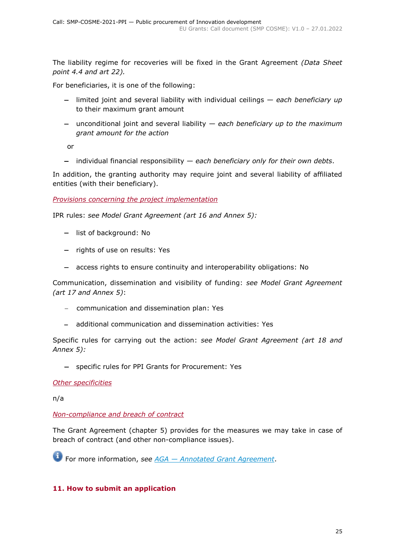The liability regime for recoveries will be fixed in the Grant Agreement *(Data Sheet point 4.4 and art 22).*

For beneficiaries, it is one of the following:

- limited joint and several liability with individual ceilings *each beneficiary up*  to their maximum grant amount
- unconditional joint and several liability *each beneficiary up to the maximum grant amount for the action*

or

individual financial responsibility — *each beneficiary only for their own debts*.

In addition, the granting authority may require joint and several liability of affiliated entities (with their beneficiary).

<span id="page-24-0"></span>*Provisions concerning the project implementation*

IPR rules: *see Model Grant Agreement (art 16 and Annex 5):*

- list of background: No
- rights of use on results: Yes
- access rights to ensure continuity and interoperability obligations: No

Communication, dissemination and visibility of funding: *see Model Grant Agreement (art 17 and Annex 5)*:

- communication and dissemination plan: Yes
- additional communication and dissemination activities: Yes

Specific rules for carrying out the action: *see Model Grant Agreement (art 18 and Annex 5):*

- specific rules for PPI Grants for Procurement: Yes

<span id="page-24-1"></span>*Other specificities*

n/a

#### <span id="page-24-2"></span>*Non-compliance and breach of contract*

The Grant Agreement (chapter 5) provides for the measures we may take in case of breach of contract (and other non-compliance issues).

For more information, *see AGA — [Annotated Grant Agreement](https://ec.europa.eu/info/funding-tenders/opportunities/docs/2021-2027/common/guidance/aga_en.pdf)*.

## <span id="page-24-3"></span>**11. How to submit an application**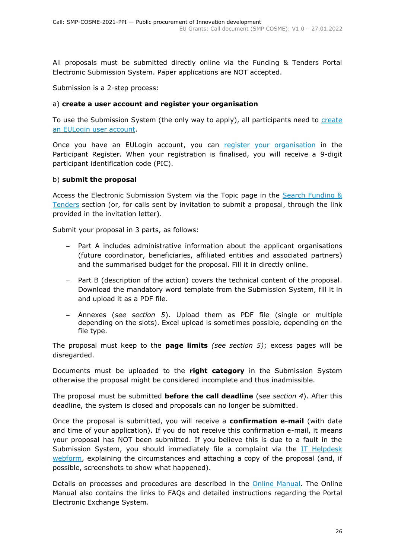All proposals must be submitted directly online via the Funding & Tenders Portal Electronic Submission System. Paper applications are NOT accepted.

Submission is a 2-step process:

## a) **create a user account and register your organisation**

To use the Submission System (the only way to apply), all participants need to [create](https://webgate.ec.europa.eu/cas/eim/external/register.cgi)  [an EULogin user account.](https://webgate.ec.europa.eu/cas/eim/external/register.cgi)

Once you have an EULogin account, you can [register your organisation](https://ec.europa.eu/info/funding-tenders/opportunities/portal/screen/how-to-participate/participant-register) in the Participant Register. When your registration is finalised, you will receive a 9-digit participant identification code (PIC).

## b) **submit the proposal**

Access the Electronic Submission System via the Topic page in the [Search Funding &](https://ec.europa.eu/info/funding-tenders/opportunities/portal/screen/opportunities/topic-search;freeTextSearchKeyword=;typeCodes=0,1;statusCodes=31094501,31094502,31094503;programCode=null;programDivisionCode=null;focusAreaCode=null;crossCuttingPriorityCode=null;callCode=Default;sortQuery=openingDate;orderBy=asc;onlyTenders=false;topicListKey=topicSearchTablePageState)  [Tenders](https://ec.europa.eu/info/funding-tenders/opportunities/portal/screen/opportunities/topic-search;freeTextSearchKeyword=;typeCodes=0,1;statusCodes=31094501,31094502,31094503;programCode=null;programDivisionCode=null;focusAreaCode=null;crossCuttingPriorityCode=null;callCode=Default;sortQuery=openingDate;orderBy=asc;onlyTenders=false;topicListKey=topicSearchTablePageState) section (or, for calls sent by invitation to submit a proposal, through the link provided in the invitation letter).

Submit your proposal in 3 parts, as follows:

- Part A includes administrative information about the applicant organisations (future coordinator, beneficiaries, affiliated entities and associated partners) and the summarised budget for the proposal. Fill it in directly online.
- Part B (description of the action) covers the technical content of the proposal. Download the mandatory word template from the Submission System, fill it in and upload it as a PDF file.
- Annexes (*see section 5*). Upload them as PDF file (single or multiple depending on the slots). Excel upload is sometimes possible, depending on the file type.

The proposal must keep to the **page limits** *(see section 5)*; excess pages will be disregarded.

Documents must be uploaded to the **right category** in the Submission System otherwise the proposal might be considered incomplete and thus inadmissible.

The proposal must be submitted **before the call deadline** (*see section 4*). After this deadline, the system is closed and proposals can no longer be submitted.

Once the proposal is submitted, you will receive a **confirmation e-mail** (with date and time of your application). If you do not receive this confirmation e-mail, it means your proposal has NOT been submitted. If you believe this is due to a fault in the Submission System, you should immediately file a complaint via the IT Helpdesk [webform,](https://ec.europa.eu/info/funding-tenders/opportunities/portal/screen/support/helpdesks/contact-form) explaining the circumstances and attaching a copy of the proposal (and, if possible, screenshots to show what happened).

Details on processes and procedures are described in the [Online Manual.](https://ec.europa.eu/info/funding-tenders/opportunities/docs/2021-2027/common/guidance/om_en.pdf) The Online Manual also contains the links to FAQs and detailed instructions regarding the Portal Electronic Exchange System.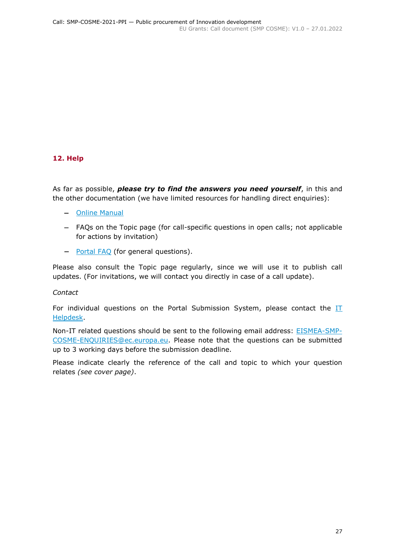## <span id="page-26-0"></span>**12. Help**

As far as possible, *please try to find the answers you need yourself*, in this and the other documentation (we have limited resources for handling direct enquiries):

- [Online Manual](https://ec.europa.eu/info/funding-tenders/opportunities/docs/2021-2027/common/guidance/om_en.pdf)
- FAQs on the Topic page (for call-specific questions in open calls; not applicable for actions by invitation)
- [Portal](https://ec.europa.eu/info/funding-tenders/opportunities/portal/screen/support/faq;categories=;programme=null;actions=;keyword=) FAQ (for general questions).

Please also consult the Topic page regularly, since we will use it to publish call updates. (For invitations, we will contact you directly in case of a call update).

*Contact*

For individual questions on the Portal Submission System, please contact the  $II$ [Helpdesk.](https://ec.europa.eu/info/funding-tenders/opportunities/portal/screen/support/helpdesks/contact-form)

Non-IT related questions should be sent to the following email address: [EISMEA-SMP-](mailto:EISMEA-SMP-COSME-ENQUIRIES@ec.europa.eu)[COSME-ENQUIRIES@ec.europa.eu.](mailto:EISMEA-SMP-COSME-ENQUIRIES@ec.europa.eu) Please note that the questions can be submitted up to 3 working days before the submission deadline.

Please indicate clearly the reference of the call and topic to which your question relates *(see cover page)*.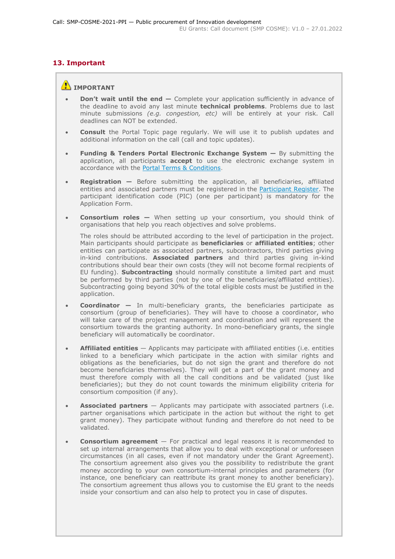# <span id="page-27-0"></span>**13. Important**

## **IMPORTANT**

- **Don't wait until the end —** Complete your application sufficiently in advance of the deadline to avoid any last minute **technical problems**. Problems due to last minute submissions *(e.g. congestion, etc)* will be entirely at your risk. Call deadlines can NOT be extended.
- **Consult** the Portal Topic page regularly. We will use it to publish updates and additional information on the call (call and topic updates).
- **Funding & Tenders Portal Electronic Exchange System —** By submitting the application, all participants **accept** to use the electronic exchange system in accordance with the [Portal Terms & Conditions.](https://ec.europa.eu/info/funding-tenders/opportunities/docs/2021-2027/common/ftp/tc_en.pdf)
- **Registration —** Before submitting the application, all beneficiaries, affiliated entities and associated partners must be registered in the [Participant Register.](https://ec.europa.eu/info/funding-tenders/opportunities/portal/screen/how-to-participate/participant-register) The participant identification code (PIC) (one per participant) is mandatory for the Application Form.
- **Consortium roles —** When setting up your consortium, you should think of organisations that help you reach objectives and solve problems.

The roles should be attributed according to the level of participation in the project. Main participants should participate as **beneficiaries** or **affiliated entities**; other entities can participate as associated partners, subcontractors, third parties giving in-kind contributions. **Associated partners** and third parties giving in-kind contributions should bear their own costs (they will not become formal recipients of EU funding). **Subcontracting** should normally constitute a limited part and must be performed by third parties (not by one of the beneficiaries/affiliated entities). Subcontracting going beyond 30% of the total eligible costs must be justified in the application.

- **Coordinator —** In multi-beneficiary grants, the beneficiaries participate as consortium (group of beneficiaries). They will have to choose a coordinator, who will take care of the project management and coordination and will represent the consortium towards the granting authority. In mono-beneficiary grants, the single beneficiary will automatically be coordinator.
- **Affiliated entities** Applicants may participate with affiliated entities (i.e. entities linked to a beneficiary which participate in the action with similar rights and obligations as the beneficiaries, but do not sign the grant and therefore do not become beneficiaries themselves). They will get a part of the grant money and must therefore comply with all the call conditions and be validated (just like beneficiaries); but they do not count towards the minimum eligibility criteria for consortium composition (if any).
- **Associated partners** Applicants may participate with associated partners (i.e. partner organisations which participate in the action but without the right to get grant money). They participate without funding and therefore do not need to be validated.
- **Consortium agreement**  For practical and legal reasons it is recommended to set up internal arrangements that allow you to deal with exceptional or unforeseen circumstances (in all cases, even if not mandatory under the Grant Agreement). The consortium agreement also gives you the possibility to redistribute the grant money according to your own consortium-internal principles and parameters (for instance, one beneficiary can reattribute its grant money to another beneficiary). The consortium agreement thus allows you to customise the EU grant to the needs inside your consortium and can also help to protect you in case of disputes.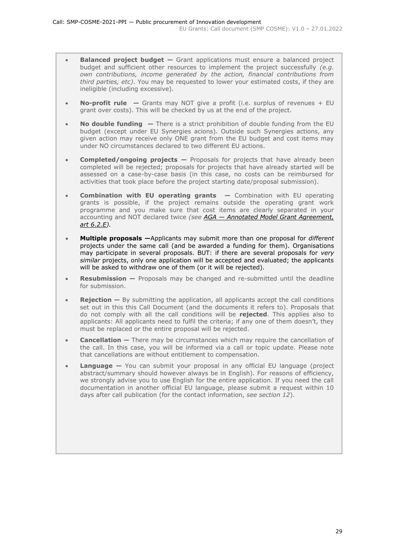- **Balanced project budget –** Grant applications must ensure a balanced project budget and sufficient other resources to implement the project successfully *(e.g. own contributions, income generated by the action, financial contributions from third parties, etc)*. You may be requested to lower your estimated costs, if they are ineligible (including excessive).
- **No-profit rule —** Grants may NOT give a profit (i.e. surplus of revenues + EU grant over costs). This will be checked by us at the end of the project.
- **No double funding —** There is a strict prohibition of double funding from the EU budget (except under EU Synergies acions). Outside such Synergies actions, any given action may receive only ONE grant from the EU budget and cost items may under NO circumstances declared to two different EU actions.
- **Completed/ongoing projects** Proposals for projects that have already been completed will be rejected; proposals for projects that have already started will be assessed on a case-by-case basis (in this case, no costs can be reimbursed for activities that took place before the project starting date/proposal submission).
- **Combination with EU operating grants —** Combination with EU operating grants is possible, if the project remains outside the operating grant work programme and you make sure that cost items are clearly separated in your accounting and NOT declared twice *(see AGA — [Annotated Model Grant Agreement,](https://ec.europa.eu/info/funding-tenders/opportunities/docs/2021-2027/common/guidance/aga_en.pdf)  [art 6.2.E\)](https://ec.europa.eu/info/funding-tenders/opportunities/docs/2021-2027/common/guidance/aga_en.pdf).*
- **Multiple proposals —**Applicants may submit more than one proposal for *different* projects under the same call (and be awarded a funding for them). Organisations may participate in several proposals. BUT: if there are several proposals for *very similar* projects, only one application will be accepted and evaluated; the applicants will be asked to withdraw one of them (or it will be rejected).
- **Resubmission —** Proposals may be changed and re-submitted until the deadline for submission.
- **Rejection —** By submitting the application, all applicants accept the call conditions set out in this this Call Document (and the documents it refers to). Proposals that do not comply with all the call conditions will be **rejected**. This applies also to applicants: All applicants need to fulfil the criteria; if any one of them doesn't, they must be replaced or the entire proposal will be rejected.
- **Cancellation —** There may be circumstances which may require the cancellation of the call. In this case, you will be informed via a call or topic update. Please note that cancellations are without entitlement to compensation.
- **Language —** You can submit your proposal in any official EU language (project abstract/summary should however always be in English). For reasons of efficiency, we strongly advise you to use English for the entire application. If you need the call documentation in another official EU language, please submit a request within 10 days after call publication (for the contact information, *see section 12*).